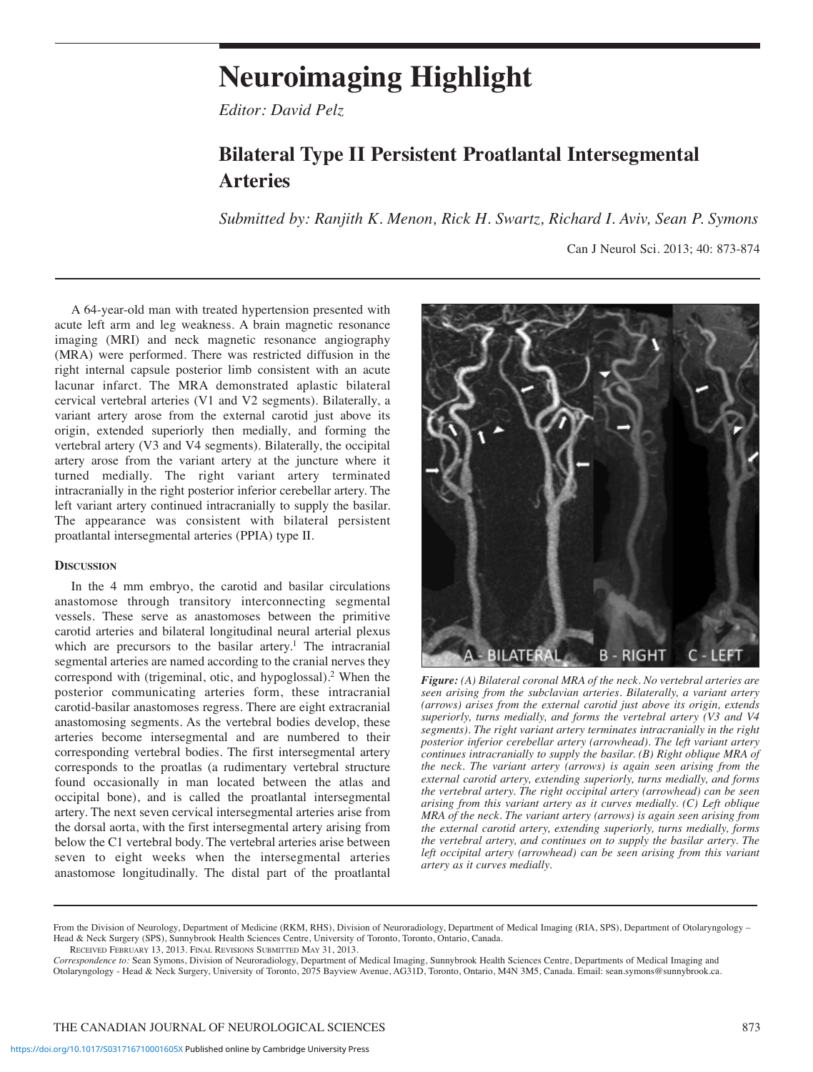## **Neuroimaging Highlight**

*Editor: David Pelz*

## **Bilateral Type II Persistent Proatlantal Intersegmental Arteries**

*Submitted by: Ranjith K. Menon, Rick H. Swartz, Richard I. Aviv, Sean P. Symons*

Can J Neurol Sci. 2013; 40: 873-874

A 64-year-old man with treated hypertension presented with acute left arm and leg weakness. A brain magnetic resonance imaging (MRI) and neck magnetic resonance angiography (MRA) were performed. There was restricted diffusion in the right internal capsule posterior limb consistent with an acute lacunar infarct. The MRA demonstrated aplastic bilateral cervical vertebral arteries (v1 and v2 segments). bilaterally, a variant artery arose from the external carotid just above its origin, extended superiorly then medially, and forming the vertebral artery (V3 and V4 segments). Bilaterally, the occipital artery arose from the variant artery at the juncture where it turned medially. The right variant artery terminated intracranially in the right posterior inferior cerebellar artery. The left variant artery continued intracranially to supply the basilar. The appearance was consistent with bilateral persistent proatlantal intersegmental arteries (PPIA) type II.

## **DISCUSSION**

In the 4 mm embryo, the carotid and basilar circulations anastomose through transitory interconnecting segmental vessels. These serve as anastomoses between the primitive carotid arteries and bilateral longitudinal neural arterial plexus which are precursors to the basilar artery.<sup>1</sup> The intracranial segmental arteries are named according to the cranial nerves they correspond with (trigeminal, otic, and hypoglossal).<sup>2</sup> When the posterior communicating arteries form, these intracranial carotid-basilar anastomoses regress. There are eight extracranial anastomosing segments. As the vertebral bodies develop, these arteries become intersegmental and are numbered to their corresponding vertebral bodies. The first intersegmental artery corresponds to the proatlas (a rudimentary vertebral structure found occasionally in man located between the atlas and occipital bone), and is called the proatlantal intersegmental artery. The next seven cervical intersegmental arteries arise from the dorsal aorta, with the first intersegmental artery arising from below the C1 vertebral body. The vertebral arteries arise between seven to eight weeks when the intersegmental arteries anastomose longitudinally. The distal part of the proatlantal



*Figure: (A) Bilateral coronal MRA of the neck. No vertebral arteries are seen arising from the subclavian arteries. Bilaterally, a variant artery (arrows) arises from the external carotid just above its origin, extends superiorly, turns medially, and forms the vertebral artery (V3 and V4 segments). The right variant artery terminates intracranially in the right posterior inferior cerebellar artery (arrowhead). The left variant artery continues intracranially to supply the basilar. (B) Right oblique MRA of the neck. The variant artery (arrows) is again seen arising from the external carotid artery, extending superiorly, turns medially, and forms the vertebral artery. The right occipital artery (arrowhead) can be seen arising from this variant artery as it curves medially. (C) Left oblique MRA of the neck. The variant artery (arrows) is again seen arising from the external carotid artery, extending superiorly, turns medially, forms the vertebral artery, and continues on to supply the basilar artery. The left occipital artery (arrowhead) can be seen arising from this variant artery as it curves medially.*

From the Division of Neurology, Department of Medicine (RKM, RHS), Division of Neuroradiology, Department of Medical Imaging (RIA, SPS), Department of Otolaryngology – Head & Neck Surgery (SPS), Sunnybrook Health Sciences Centre, University of Toronto, Toronto, Ontario, Canada.

RECEIVED FEBRUARY 13, 2013. FINAL REVISIONS SUBMITTED MAY 31, 2013.

*Correspondence to:* Sean Symons, Division of Neuroradiology, Department of Medical Imaging, Sunnybrook Health Sciences Centre, Departments of Medical Imaging and Otolaryngology - Head & Neck Surgery, University of Toronto, 2075 bayview Avenue, AG31D, Toronto, Ontario, M4N 3M5, Canada. email: sean.symons@sunnybrook.ca.